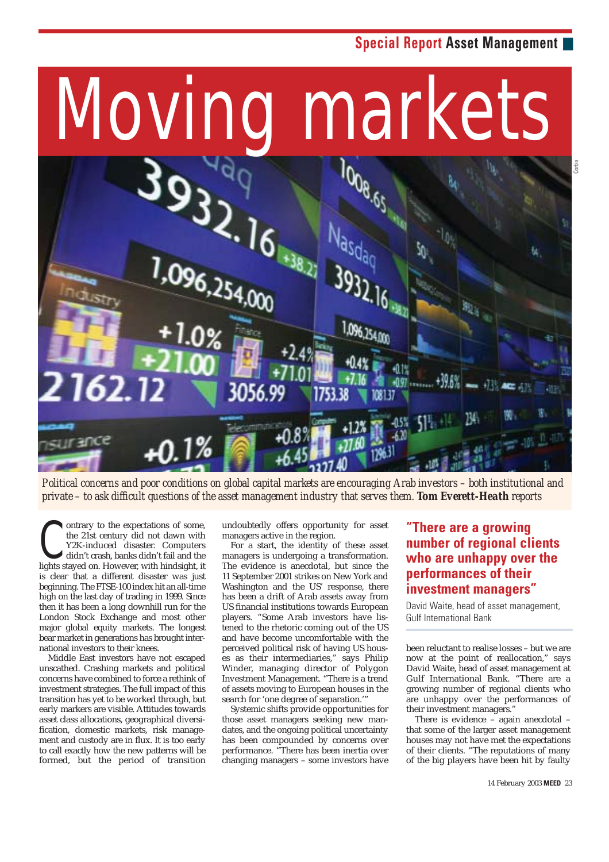# **Special Report Asset Management** ■



*Political concerns and poor conditions on global capital markets are encouraging Arab investors – both institutional and private – to ask difficult questions of the asset management industry that serves them. Tom Everett-Heath reports*

ontrary to the expectations of some, the 21st century did not dawn with Y2K-induced disaster. Computers didn't crash, banks didn't fail and the lights stayed on. However, with hindsight, it is clear that a different disaster was just beginning. The FTSE-100 index hit an all-time high on the last day of trading in 1999. Since then it has been a long downhill run for the London Stock Exchange and most other major global equity markets. The longest bear market in generations has brought international investors to their knees. C

Middle East investors have not escaped unscathed. Crashing markets and political concerns have combined to force a rethink of investment strategies. The full impact of this transition has yet to be worked through, but early markers are visible. Attitudes towards asset class allocations, geographical diversification, domestic markets, risk management and custody are in flux. It is too early to call exactly how the new patterns will be formed, but the period of transition undoubtedly offers opportunity for asset managers active in the region.

For a start, the identity of these asset managers is undergoing a transformation. The evidence is anecdotal, but since the 11 September 2001 strikes on New York and Washington and the US' response, there has been a drift of Arab assets away from US financial institutions towards European players. "Some Arab investors have listened to the rhetoric coming out of the US and have become uncomfortable with the perceived political risk of having US houses as their intermediaries," says Philip Winder, managing director of Polygon Investment Management. "There is a trend of assets moving to European houses in the search for 'one degree of separation.'"

Systemic shifts provide opportunities for those asset managers seeking new mandates, and the ongoing political uncertainty has been compounded by concerns over performance. "There has been inertia over changing managers – some investors have

## **"There are a growing number of regional clients who are unhappy over the performances of their investment managers"**

David Waite, head of asset management, Gulf International Bank

been reluctant to realise losses – but we are now at the point of reallocation," says David Waite, head of asset management at Gulf International Bank. "There are a growing number of regional clients who are unhappy over the performances of their investment managers."

There is evidence – again anecdotal – that some of the larger asset management houses may not have met the expectations of their clients. "The reputations of many of the big players have been hit by faulty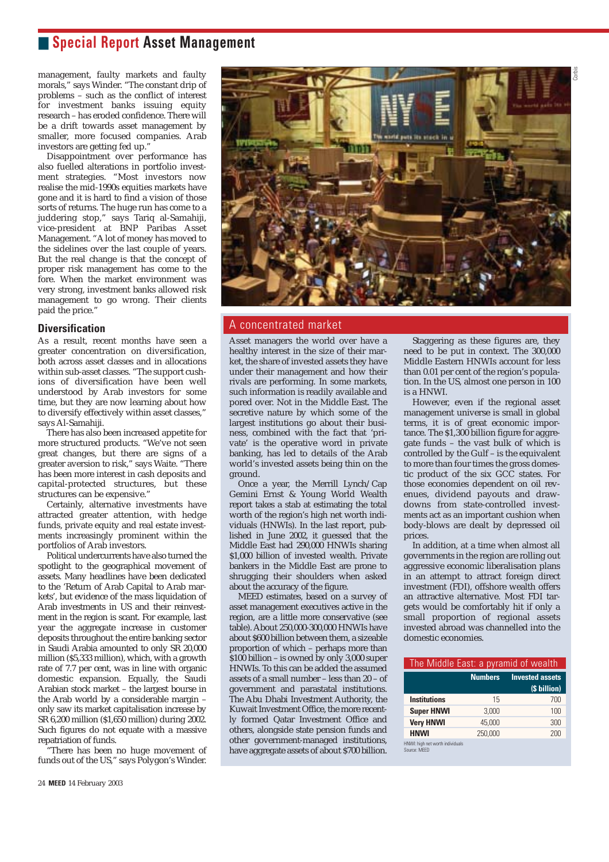# ■ **Special Report Asset Management**

management, faulty markets and faulty morals," says Winder. "The constant drip of problems – such as the conflict of interest for investment banks issuing equity research – has eroded confidence. There will be a drift towards asset management by smaller, more focused companies. Arab investors are getting fed up."

Disappointment over performance has also fuelled alterations in portfolio investment strategies. "Most investors now realise the mid-1990s equities markets have gone and it is hard to find a vision of those sorts of returns. The huge run has come to a juddering stop," says Tariq al-Samahiji, vice-president at BNP Paribas Asset Management. "A lot of money has moved to the sidelines over the last couple of years. But the real change is that the concept of proper risk management has come to the fore. When the market environment was very strong, investment banks allowed risk management to go wrong. Their clients paid the price.'

### **Diversification**

As a result, recent months have seen a greater concentration on diversification, both across asset classes and in allocations within sub-asset classes. "The support cushions of diversification have been well understood by Arab investors for some time, but they are now learning about how to diversify effectively within asset classes," says Al-Samahiji.

There has also been increased appetite for more structured products. "We've not seen great changes, but there are signs of a greater aversion to risk," says Waite. "There has been more interest in cash deposits and capital-protected structures, but these structures can be expensive."

Certainly, alternative investments have attracted greater attention, with hedge funds, private equity and real estate investments increasingly prominent within the portfolios of Arab investors.

Political undercurrents have also turned the spotlight to the geographical movement of assets. Many headlines have been dedicated to the 'Return of Arab Capital to Arab markets', but evidence of the mass liquidation of Arab investments in US and their reinvestment in the region is scant. For example, last year the aggregate increase in customer deposits throughout the entire banking sector in Saudi Arabia amounted to only SR 20,000 million (\$5,333 million), which, with a growth rate of 7.7 per cent, was in line with organic domestic expansion. Equally, the Saudi Arabian stock market – the largest bourse in the Arab world by a considerable margin – only saw its market capitalisation increase by SR 6,200 million (\$1,650 million) during 2002. Such figures do not equate with a massive repatriation of funds.

"There has been no huge movement of funds out of the US," says Polygon's Winder.



### A concentrated market

Asset managers the world over have a healthy interest in the size of their market, the share of invested assets they have under their management and how their rivals are performing. In some markets, such information is readily available and pored over. Not in the Middle East. The secretive nature by which some of the largest institutions go about their business, combined with the fact that 'private' is the operative word in private banking, has led to details of the Arab world's invested assets being thin on the ground.

Once a year, the Merrill Lynch/Cap Gemini Ernst & Young World Wealth report takes a stab at estimating the total worth of the region's high net worth individuals (HNWIs). In the last report, published in June 2002, it guessed that the Middle East had 290,000 HNWIs sharing \$1,000 billion of invested wealth. Private bankers in the Middle East are prone to shrugging their shoulders when asked about the accuracy of the figure.

MEED estimates, based on a survey of asset management executives active in the region, are a little more conservative (see table). About 250,000-300,000 HNWIs have about \$600 billion between them, a sizeable proportion of which – perhaps more than  $\frac{1}{2}$ \$100 billion – is owned by only 3,000 super HNWIs. To this can be added the assumed assets of a small number – less than 20 – of government and parastatal institutions. The Abu Dhabi Investment Authority, the Kuwait Investment Office, the more recently formed Qatar Investment Office and others, alongside state pension funds and other government-managed institutions, have aggregate assets of about \$700 billion.

Staggering as these figures are, they need to be put in context. The 300,000 Middle Eastern HNWIs account for less than 0.01 per cent of the region's population. In the US, almost one person in 100 is a HNWI.

However, even if the regional asset management universe is small in global terms, it is of great economic importance. The \$1,300 billion figure for aggregate funds – the vast bulk of which is controlled by the Gulf – is the equivalent to more than four times the gross domestic product of the six GCC states. For those economies dependent on oil revenues, dividend payouts and drawdowns from state-controlled investments act as an important cushion when body-blows are dealt by depressed oil prices.

In addition, at a time when almost all governments in the region are rolling out aggressive economic liberalisation plans in an attempt to attract foreign direct investment (FDI), offshore wealth offers an attractive alternative. Most FDI targets would be comfortably hit if only a small proportion of regional assets invested abroad was channelled into the domestic economies.

| The Middle East: a pyramid of wealth             |                |                        |
|--------------------------------------------------|----------------|------------------------|
|                                                  | <b>Numbers</b> | <b>Invested assets</b> |
|                                                  |                | (\$ billion)           |
| <b>Institutions</b>                              | 15             | 700                    |
| <b>Super HNWI</b>                                | 3.000          | 100                    |
| <b>Very HNWI</b>                                 | 45,000         | 300                    |
| <b>HNWI</b>                                      | 250,000        | 200                    |
| HNWI: high net worth individuals<br>Source: MEED |                |                        |